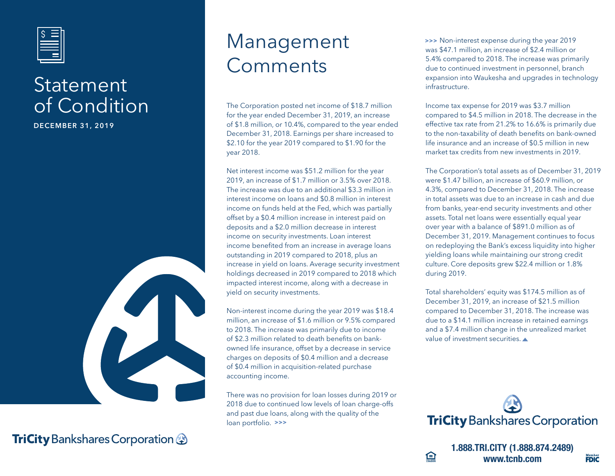

## **Statement** of Condition

**DECEMBER 31, 2019**



**TriCity** Bankshares Corporation &

## Management Comments

The Corporation posted net income of \$18.7 million for the year ended December 31, 2019, an increase of \$1.8 million, or 10.4%, compared to the year ended December 31, 2018. Earnings per share increased to \$2.10 for the year 2019 compared to \$1.90 for the year 2018.

Net interest income was \$51.2 million for the year 2019, an increase of \$1.7 million or 3.5% over 2018. The increase was due to an additional \$3.3 million in interest income on loans and \$0.8 million in interest income on funds held at the Fed, which was partially offset by a \$0.4 million increase in interest paid on deposits and a \$2.0 million decrease in interest income on security investments. Loan interest income benefited from an increase in average loans outstanding in 2019 compared to 2018, plus an increase in yield on loans. Average security investment holdings decreased in 2019 compared to 2018 which impacted interest income, along with a decrease in yield on security investments.

Non-interest income during the year 2019 was \$18.4 million, an increase of \$1.6 million or 9.5% compared to 2018. The increase was primarily due to income of \$2.3 million related to death benefits on bankowned life insurance, offset by a decrease in service charges on deposits of \$0.4 million and a decrease of \$0.4 million in acquisition-related purchase accounting income.

There was no provision for loan losses during 2019 or 2018 due to continued low levels of loan charge-offs and past due loans, along with the quality of the loan portfolio. **>>>**

 Non-interest expense during the year 2019 **>>>** was \$47.1 million, an increase of \$2.4 million or 5.4% compared to 2018. The increase was primarily due to continued investment in personnel, branch expansion into Waukesha and upgrades in technology infrastructure.

Income tax expense for 2019 was \$3.7 million compared to \$4.5 million in 2018. The decrease in the effective tax rate from 21.2% to 16.6% is primarily due to the non-taxability of death benefits on bank-owned life insurance and an increase of \$0.5 million in new market tax credits from new investments in 2019.

The Corporation's total assets as of December 31, 2019 were \$1.47 billion, an increase of \$60.9 million, or 4.3%, compared to December 31, 2018. The increase in total assets was due to an increase in cash and due from banks, year-end security investments and other assets. Total net loans were essentially equal year over year with a balance of \$891.0 million as of December 31, 2019. Management continues to focus on redeploying the Bank's excess liquidity into higher yielding loans while maintaining our strong credit culture. Core deposits grew \$22.4 million or 1.8% during 2019.

Total shareholders' equity was \$174.5 million as of December 31, 2019, an increase of \$21.5 million compared to December 31, 2018. The increase was due to a \$14.1 million increase in retained earnings and a \$7.4 million change in the unrealized market value of investment securities.



鱼

**1.888.TRI.CITY (1.888.874.2489) www.tcnb.com FDIC**